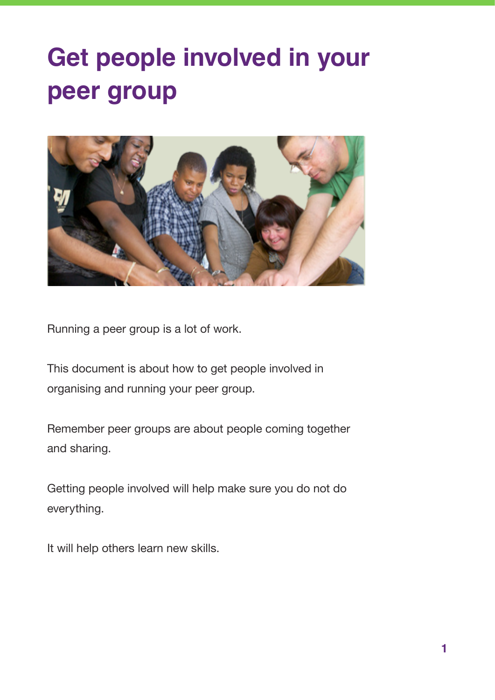# **Get people involved in your peer group**



Running a peer group is a lot of work.

This document is about how to get people involved in organising and running your peer group.

Remember peer groups are about people coming together and sharing.

Getting people involved will help make sure you do not do everything.

It will help others learn new skills.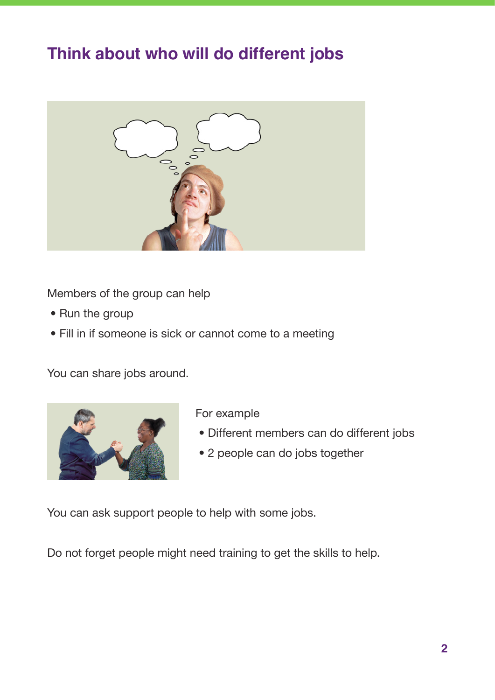#### **Think about who will do different jobs**



Members of the group can help

- Run the group
- Fill in if someone is sick or cannot come to a meeting

You can share jobs around.



For example

- Different members can do different jobs
- 2 people can do jobs together

You can ask support people to help with some jobs.

Do not forget people might need training to get the skills to help.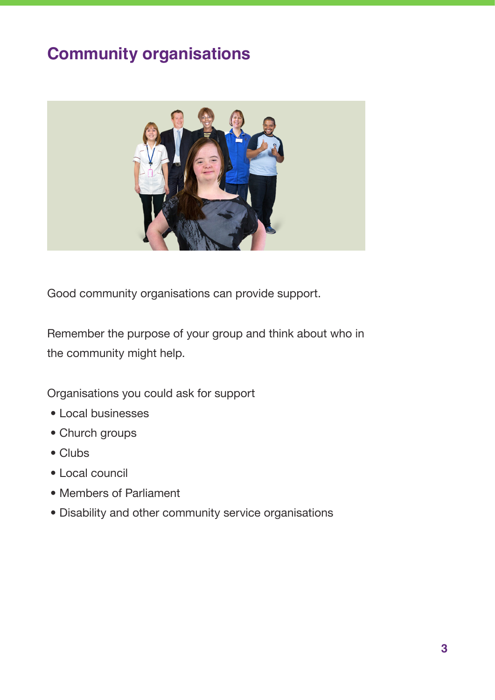### **Community organisations**



Good community organisations can provide support.

Remember the purpose of your group and think about who in the community might help.

Organisations you could ask for support

- Local businesses
- Church groups
- Clubs
- Local council
- Members of Parliament
- Disability and other community service organisations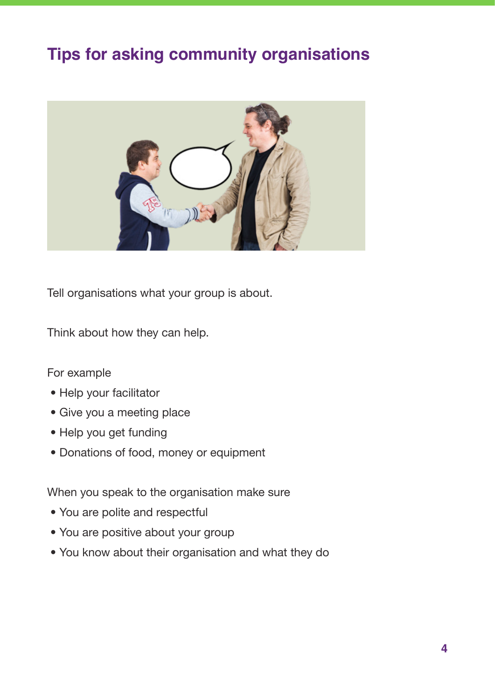#### **Tips for asking community organisations**



Tell organisations what your group is about.

Think about how they can help.

#### For example

- Help your facilitator
- Give you a meeting place
- Help you get funding
- Donations of food, money or equipment

When you speak to the organisation make sure

- You are polite and respectful
- You are positive about your group
- You know about their organisation and what they do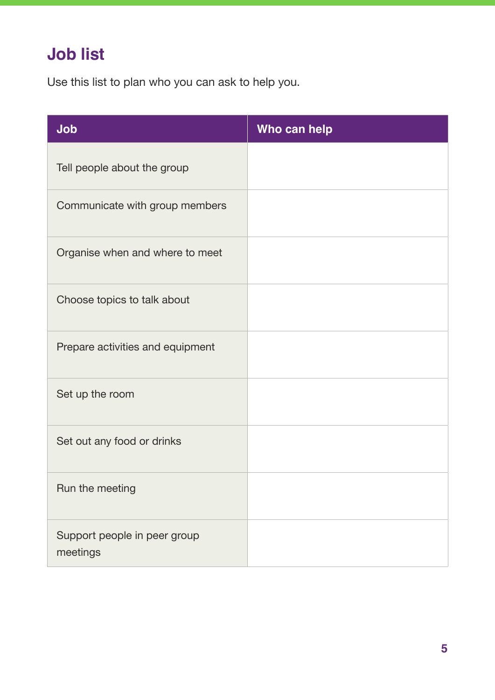# **Job list**

Use this list to plan who you can ask to help you.

| Job                                      | Who can help |
|------------------------------------------|--------------|
| Tell people about the group              |              |
| Communicate with group members           |              |
| Organise when and where to meet          |              |
| Choose topics to talk about              |              |
| Prepare activities and equipment         |              |
| Set up the room                          |              |
| Set out any food or drinks               |              |
| Run the meeting                          |              |
| Support people in peer group<br>meetings |              |